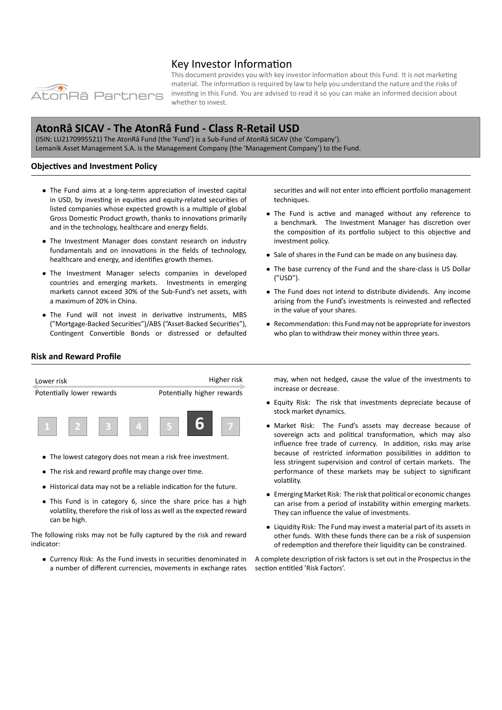

# Key Investor Information

This document provides you with key investor information about this Fund. It is not marketing material. The information is required by law to help you understand the nature and the risks of investing in this Fund. You are advised to read it so you can make an informed decision about whether to invest.

# **AtonRâ SICAV ‐ The AtonRâ Fund ‐ Class R‐Retail USD**

(ISIN: LU2170995521) The AtonRâ Fund (the 'Fund') is a Sub‐Fund of AtonRâ SICAV (the 'Company'). Lemanik Asset Management S.A. is the Management Company (the 'Management Company') to the Fund.

# **Objectives and Investment Policy**

- *•* The Fund aims at a long‐term appreciation of invested capital in USD, by investing in equities and equity-related securities of listed companies whose expected growth is a multiple of global Gross Domestic Product growth, thanks to innovations primarily and in the technology, healthcare and energy fields.
- *•* The Investment Manager does constant research on industry fundamentals and on innovations in the fields of technology, healthcare and energy, and identifies growth themes.
- *•* The Investment Manager selects companies in developed countries and emerging markets. Investments in emerging markets cannot exceed 30% of the Sub‐Fund's net assets, with a maximum of 20% in China.
- *•* The Fund will not invest in derivative instruments, MBS ("Mortgage‐Backed Securities")/ABS ("Asset‐Backed Securities"), Contingent Convertible Bonds or distressed or defaulted

securities and will not enter into efficient portfolio management techniques.

- *•* The Fund is active and managed without any reference to a benchmark. The Investment Manager has discretion over the composition of its portfolio subject to this objective and investment policy.
- *•* Sale of shares in the Fund can be made on any business day.
- *•* The base currency of the Fund and the share‐class is US Dollar ("USD").
- *•* The Fund does not intend to distribute dividends. Any income arising from the Fund's investments is reinvested and reflected in the value of your shares.
- *•* Recommendation: this Fund may not be appropriate for investors who plan to withdraw their money within three years.

## **Risk and Reward Profile**



- *•* The lowest category does not mean a risk free investment.
- *•* The risk and reward profile may change over time.
- *•* Historical data may not be a reliable indication for the future.
- *•* This Fund is in category 6, since the share price has a high volatility, therefore the risk of loss as well as the expected reward can be high.

The following risks may not be fully captured by the risk and reward indicator:

*•* Currency Risk: As the Fund invests in securities denominated in a number of different currencies, movements in exchange rates

may, when not hedged, cause the value of the investments to increase or decrease.

- *•* Equity Risk: The risk that investments depreciate because of stock market dynamics.
- *•* Market Risk: The Fund's assets may decrease because of sovereign acts and political transformation, which may also influence free trade of currency. In addition, risks may arise because of restricted information possibilities in addition to less stringent supervision and control of certain markets. The performance of these markets may be subject to significant volatility.
- *•* Emerging Market Risk: The risk that political or economic changes can arise from a period of instability within emerging markets. They can influence the value of investments.
- *•* Liquidity Risk: The Fund may invest a material part of its assets in other funds. With these funds there can be a risk of suspension of redemption and therefore their liquidity can be constrained.

A complete description of risk factors is set out in the Prospectus in the section entitled 'Risk Factors'.